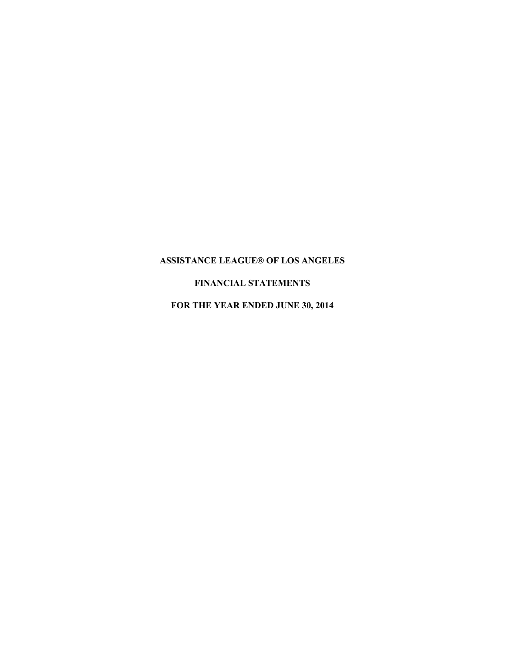# **FINANCIAL STATEMENTS**

**FOR THE YEAR ENDED JUNE 30, 2014**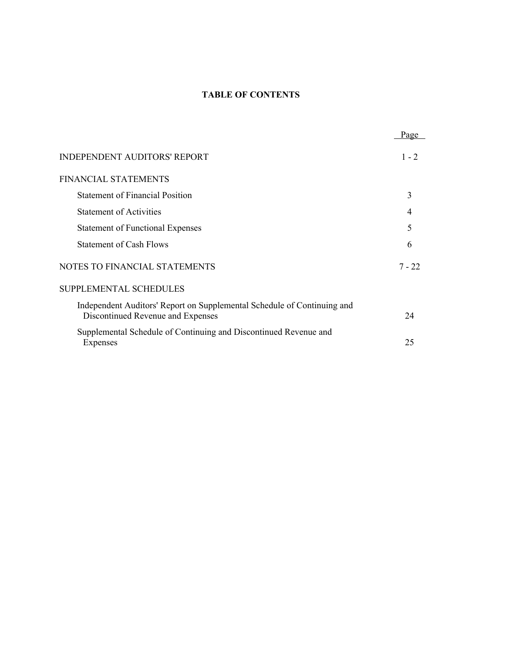# **TABLE OF CONTENTS**

|                                                                                                              | Page     |
|--------------------------------------------------------------------------------------------------------------|----------|
| <b>INDEPENDENT AUDITORS' REPORT</b>                                                                          | $1 - 2$  |
| <b>FINANCIAL STATEMENTS</b>                                                                                  |          |
| <b>Statement of Financial Position</b>                                                                       | 3        |
| <b>Statement of Activities</b>                                                                               |          |
| <b>Statement of Functional Expenses</b>                                                                      | 5        |
| <b>Statement of Cash Flows</b>                                                                               | 6        |
| NOTES TO FINANCIAL STATEMENTS                                                                                | $7 - 22$ |
| SUPPLEMENTAL SCHEDULES                                                                                       |          |
| Independent Auditors' Report on Supplemental Schedule of Continuing and<br>Discontinued Revenue and Expenses | 24       |
| Supplemental Schedule of Continuing and Discontinued Revenue and<br>Expenses                                 | 25       |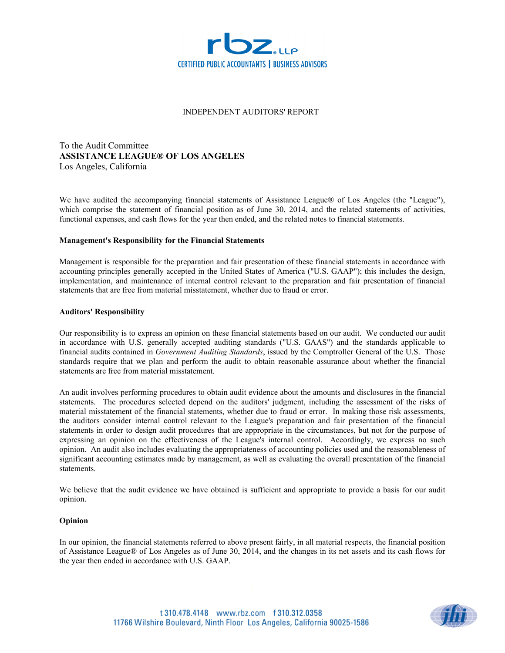

### INDEPENDENT AUDITORS' REPORT

To the Audit Committee **ASSISTANCE LEAGUE® OF LOS ANGELES** Los Angeles, California

We have audited the accompanying financial statements of Assistance League® of Los Angeles (the "League"), which comprise the statement of financial position as of June 30, 2014, and the related statements of activities, functional expenses, and cash flows for the year then ended, and the related notes to financial statements.

#### **Management's Responsibility for the Financial Statements**

Management is responsible for the preparation and fair presentation of these financial statements in accordance with accounting principles generally accepted in the United States of America ("U.S. GAAP"); this includes the design, implementation, and maintenance of internal control relevant to the preparation and fair presentation of financial statements that are free from material misstatement, whether due to fraud or error.

#### **Auditors' Responsibility**

Our responsibility is to express an opinion on these financial statements based on our audit. We conducted our audit in accordance with U.S. generally accepted auditing standards ("U.S. GAAS") and the standards applicable to financial audits contained in *Government Auditing Standards*, issued by the Comptroller General of the U.S. Those standards require that we plan and perform the audit to obtain reasonable assurance about whether the financial statements are free from material misstatement.

An audit involves performing procedures to obtain audit evidence about the amounts and disclosures in the financial statements. The procedures selected depend on the auditors' judgment, including the assessment of the risks of material misstatement of the financial statements, whether due to fraud or error. In making those risk assessments, the auditors consider internal control relevant to the League's preparation and fair presentation of the financial statements in order to design audit procedures that are appropriate in the circumstances, but not for the purpose of expressing an opinion on the effectiveness of the League's internal control. Accordingly, we express no such opinion. An audit also includes evaluating the appropriateness of accounting policies used and the reasonableness of significant accounting estimates made by management, as well as evaluating the overall presentation of the financial statements.

We believe that the audit evidence we have obtained is sufficient and appropriate to provide a basis for our audit opinion.

#### **Opinion**

In our opinion, the financial statements referred to above present fairly, in all material respects, the financial position of Assistance League® of Los Angeles as of June 30, 2014, and the changes in its net assets and its cash flows for the year then ended in accordance with U.S. GAAP.

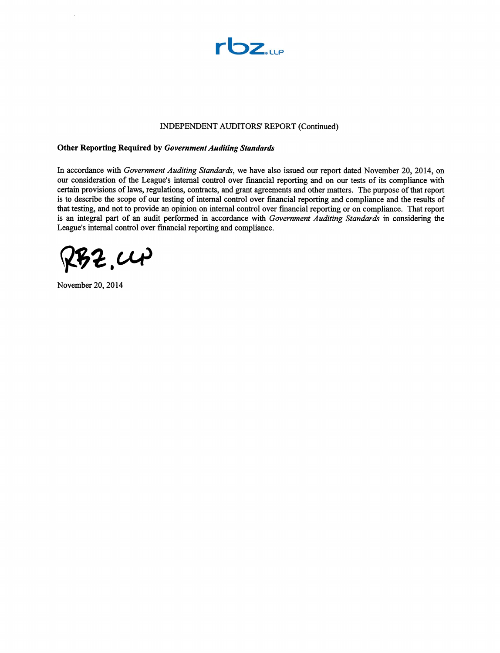

#### INDEPENDENT AUDITORS' REPORT (Continued)

#### **Other Reporting Required by Government Auditing Standards**

In accordance with Government Auditing Standards, we have also issued our report dated November 20, 2014, on our consideration of the League's internal control over financial reporting and on our tests of its compliance with certain provisions of laws, regulations, contracts, and grant agreements and other matters. The purpose of that report is to describe the scope of our testing of internal control over financial reporting and compliance and the results of that testing, and not to provide an opinion on internal control over financial reporting or on compliance. That report is an integral part of an audit performed in accordance with Government Auditing Standards in considering the League's internal control over financial reporting and compliance.

 $72,00$ 

November 20, 2014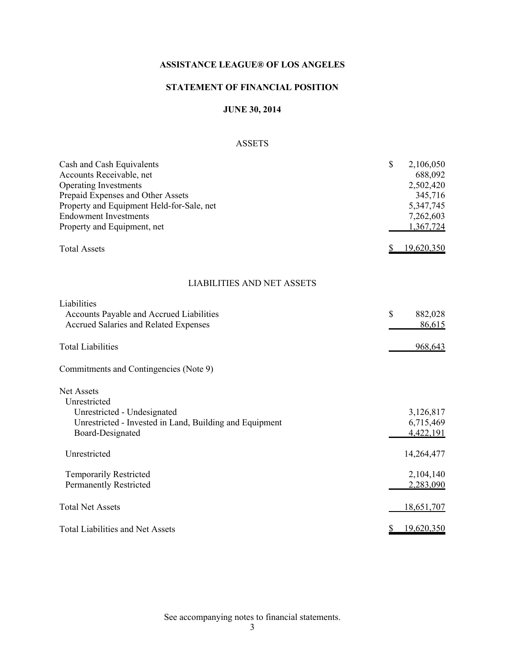# **STATEMENT OF FINANCIAL POSITION**

# **JUNE 30, 2014**

# ASSETS

| Cash and Cash Equivalents<br>Accounts Receivable, net<br><b>Operating Investments</b><br>Prepaid Expenses and Other Assets<br>Property and Equipment Held-for-Sale, net<br><b>Endowment Investments</b> | \$<br>2,106,050<br>688,092<br>2,502,420<br>345,716<br>5,347,745<br>7,262,603 |
|---------------------------------------------------------------------------------------------------------------------------------------------------------------------------------------------------------|------------------------------------------------------------------------------|
| Property and Equipment, net                                                                                                                                                                             | 1,367,724                                                                    |
| <b>Total Assets</b>                                                                                                                                                                                     | 19,620,350                                                                   |
| <b>LIABILITIES AND NET ASSETS</b>                                                                                                                                                                       |                                                                              |
| Liabilities                                                                                                                                                                                             |                                                                              |
| Accounts Payable and Accrued Liabilities<br>Accrued Salaries and Related Expenses                                                                                                                       | $\mathcal{S}$<br>882,028<br><u>86,615</u>                                    |
| <b>Total Liabilities</b>                                                                                                                                                                                | 968,643                                                                      |
| Commitments and Contingencies (Note 9)                                                                                                                                                                  |                                                                              |
| <b>Net Assets</b>                                                                                                                                                                                       |                                                                              |
| Unrestricted<br>Unrestricted - Undesignated                                                                                                                                                             | 3,126,817                                                                    |
| Unrestricted - Invested in Land, Building and Equipment                                                                                                                                                 | 6,715,469                                                                    |
| Board-Designated                                                                                                                                                                                        | 4,422,191                                                                    |
|                                                                                                                                                                                                         |                                                                              |
| Unrestricted                                                                                                                                                                                            | 14,264,477                                                                   |
| <b>Temporarily Restricted</b>                                                                                                                                                                           | 2,104,140                                                                    |
| <b>Permanently Restricted</b>                                                                                                                                                                           | 2,283,090                                                                    |
|                                                                                                                                                                                                         |                                                                              |
| <b>Total Net Assets</b>                                                                                                                                                                                 | 18,651,707                                                                   |
| <b>Total Liabilities and Net Assets</b>                                                                                                                                                                 | 19,620,350<br>S                                                              |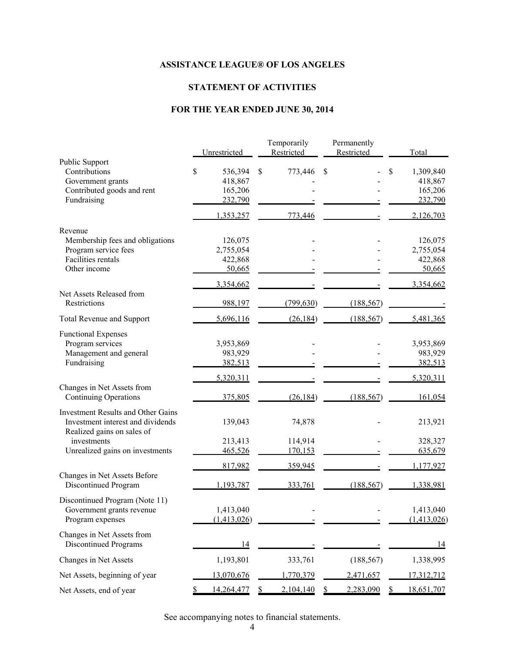# **STATEMENT OF ACTIVITIES**

# **FOR THE YEAR ENDED JUNE 30, 2014**

|                                                            |                    | Temporarily        | Permanently |                    |
|------------------------------------------------------------|--------------------|--------------------|-------------|--------------------|
|                                                            | Unrestricted       | Restricted         | Restricted  | Total              |
| <b>Public Support</b><br>Contributions                     | \$<br>536,394      | 773,446<br>\$      | \$          | \$<br>1,309,840    |
| Government grants                                          | 418,867            |                    |             | 418,867            |
| Contributed goods and rent                                 | 165,206            |                    |             | 165,206            |
| Fundraising                                                | 232,790            |                    |             | 232,790            |
|                                                            | 1,353,257          | 773,446            |             | 2,126,703          |
| Revenue                                                    |                    |                    |             |                    |
| Membership fees and obligations                            | 126,075            |                    |             | 126,075            |
| Program service fees                                       | 2,755,054          |                    |             | 2,755,054          |
| <b>Facilities rentals</b>                                  | 422,868            |                    |             | 422,868            |
| Other income                                               | 50,665             |                    |             | 50,665             |
|                                                            | 3,354,662          |                    |             | 3,354,662          |
| Net Assets Released from<br>Restrictions                   | 988,197            | (799, 630)         | (188, 567)  |                    |
| <b>Total Revenue and Support</b>                           | 5,696,116          | (26, 184)          | (188, 567)  | 5,481,365          |
|                                                            |                    |                    |             |                    |
| <b>Functional Expenses</b>                                 |                    |                    |             |                    |
| Program services                                           | 3,953,869          |                    |             | 3,953,869          |
| Management and general                                     | 983,929            |                    |             | 983,929            |
| Fundraising                                                | 382,513            |                    |             | 382,513            |
|                                                            | 5,320,311          |                    |             | 5,320,311          |
| Changes in Net Assets from<br><b>Continuing Operations</b> | 375,805            | (26, 184)          | (188, 567)  | 161,054            |
|                                                            |                    |                    |             |                    |
| <b>Investment Results and Other Gains</b>                  |                    |                    |             |                    |
| Investment interest and dividends                          | 139,043            | 74,878             |             | 213,921            |
| Realized gains on sales of<br>investments                  |                    |                    |             |                    |
| Unrealized gains on investments                            | 213,413<br>465,526 | 114,914<br>170,153 |             | 328,327<br>635,679 |
|                                                            |                    |                    |             |                    |
|                                                            | 817,982            | 359,945            |             | 1,177,927          |
| Changes in Net Assets Before<br>Discontinued Program       | 1,193,787          | 333,761            | (188, 567)  | 1,338,981          |
| Discontinued Program (Note 11)                             |                    |                    |             |                    |
| Government grants revenue                                  | 1,413,040          |                    |             | 1,413,040          |
| Program expenses                                           | (1,413,026)        |                    |             | (1,413,026)        |
|                                                            |                    |                    |             |                    |
| Changes in Net Assets from                                 |                    |                    |             |                    |
| <b>Discontinued Programs</b>                               | 14                 |                    |             | 14                 |
| Changes in Net Assets                                      | 1,193,801          | 333,761            | (188, 567)  | 1,338,995          |
| Net Assets, beginning of year                              | 13,070,676         | 1,770,379          | 2,471,657   | 17,312,712         |
| Net Assets, end of year                                    | 14,264,477         | 2,104,140          | 2,283,090   | 18,651,707         |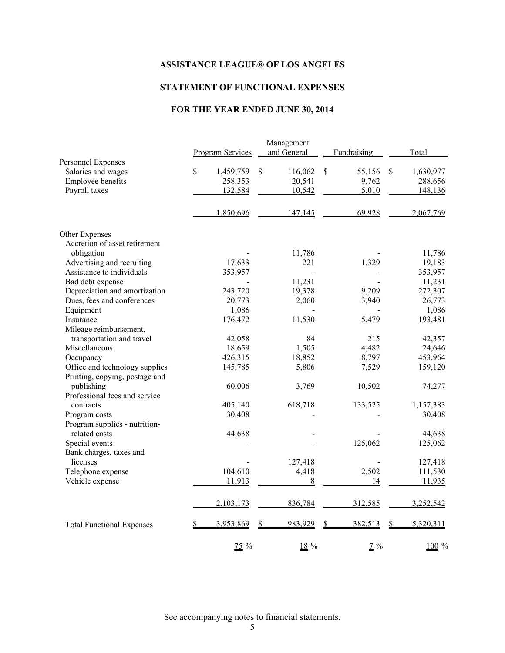# **STATEMENT OF FUNCTIONAL EXPENSES**

# **FOR THE YEAR ENDED JUNE 30, 2014**

|                                                                                | <b>Program Services</b>               | Management<br>and General         | Fundraising                    | Total                                 |
|--------------------------------------------------------------------------------|---------------------------------------|-----------------------------------|--------------------------------|---------------------------------------|
| Personnel Expenses<br>Salaries and wages<br>Employee benefits<br>Payroll taxes | \$<br>1,459,759<br>258,353<br>132,584 | \$<br>116,062<br>20,541<br>10,542 | \$<br>55,156<br>9,762<br>5,010 | \$<br>1,630,977<br>288,656<br>148,136 |
|                                                                                | 1,850,696                             | 147,145                           | 69,928                         | 2,067,769                             |
| Other Expenses                                                                 |                                       |                                   |                                |                                       |
| Accretion of asset retirement                                                  |                                       |                                   |                                |                                       |
| obligation                                                                     |                                       | 11,786                            |                                | 11,786                                |
| Advertising and recruiting                                                     | 17,633                                | 221                               | 1,329                          | 19,183                                |
| Assistance to individuals                                                      | 353,957                               |                                   |                                | 353,957                               |
| Bad debt expense                                                               |                                       | 11,231                            |                                | 11,231                                |
| Depreciation and amortization                                                  | 243,720                               | 19,378                            | 9,209                          | 272,307                               |
| Dues, fees and conferences                                                     | 20,773                                | 2,060                             | 3,940                          | 26,773                                |
| Equipment                                                                      | 1,086                                 |                                   |                                | 1,086                                 |
| Insurance                                                                      | 176,472                               | 11,530                            | 5,479                          | 193,481                               |
| Mileage reimbursement,                                                         |                                       |                                   |                                |                                       |
| transportation and travel                                                      | 42,058                                | 84                                | 215                            | 42,357                                |
| Miscellaneous                                                                  | 18,659                                | 1,505                             | 4,482                          | 24,646                                |
| Occupancy                                                                      | 426,315                               | 18,852                            | 8,797                          | 453,964                               |
| Office and technology supplies                                                 | 145,785                               | 5,806                             | 7,529                          | 159,120                               |
| Printing, copying, postage and                                                 |                                       |                                   |                                |                                       |
| publishing                                                                     | 60,006                                | 3,769                             | 10,502                         | 74,277                                |
| Professional fees and service                                                  |                                       |                                   |                                |                                       |
| contracts                                                                      | 405,140                               | 618,718                           | 133,525                        | 1,157,383                             |
| Program costs                                                                  | 30,408                                |                                   |                                | 30,408                                |
| Program supplies - nutrition-                                                  |                                       |                                   |                                |                                       |
| related costs                                                                  | 44,638                                |                                   |                                | 44,638                                |
| Special events                                                                 |                                       |                                   | 125,062                        | 125,062                               |
| Bank charges, taxes and                                                        |                                       |                                   |                                |                                       |
| licenses                                                                       |                                       | 127,418                           |                                | 127,418                               |
| Telephone expense                                                              | 104,610                               | 4,418                             | 2,502                          | 111,530                               |
| Vehicle expense                                                                | 11,913                                | 8                                 | 14                             | 11,935                                |
|                                                                                | 2,103,173                             | 836,784                           | 312,585                        | 3,252,542                             |
| <b>Total Functional Expenses</b>                                               | 3,953,869                             | 983,929                           | 382,513<br>\$                  | 5,320,311<br>\$                       |
|                                                                                | $75\%$                                | $18\%$                            | $2\%$                          | 100 %                                 |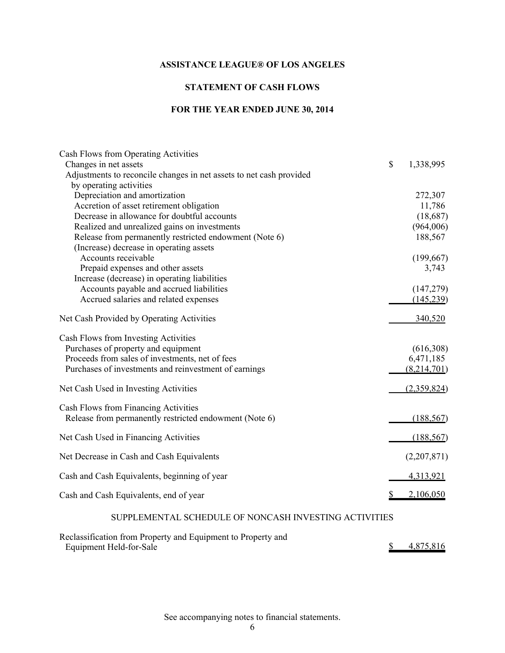# **STATEMENT OF CASH FLOWS**

# **FOR THE YEAR ENDED JUNE 30, 2014**

| Cash Flows from Operating Activities                                                         |                 |
|----------------------------------------------------------------------------------------------|-----------------|
| Changes in net assets<br>Adjustments to reconcile changes in net assets to net cash provided | \$<br>1,338,995 |
| by operating activities                                                                      |                 |
| Depreciation and amortization                                                                | 272,307         |
| Accretion of asset retirement obligation                                                     | 11,786          |
| Decrease in allowance for doubtful accounts                                                  | (18,687)        |
| Realized and unrealized gains on investments                                                 | (964,006)       |
| Release from permanently restricted endowment (Note 6)                                       | 188,567         |
| (Increase) decrease in operating assets                                                      |                 |
| Accounts receivable                                                                          | (199, 667)      |
| Prepaid expenses and other assets                                                            | 3,743           |
| Increase (decrease) in operating liabilities                                                 |                 |
| Accounts payable and accrued liabilities                                                     | (147, 279)      |
| Accrued salaries and related expenses                                                        | (145, 239)      |
| Net Cash Provided by Operating Activities                                                    | 340,520         |
| Cash Flows from Investing Activities                                                         |                 |
| Purchases of property and equipment                                                          | (616,308)       |
| Proceeds from sales of investments, net of fees                                              | 6,471,185       |
| Purchases of investments and reinvestment of earnings                                        | (8,214,701)     |
| Net Cash Used in Investing Activities                                                        | (2,359,824)     |
| Cash Flows from Financing Activities                                                         |                 |
| Release from permanently restricted endowment (Note 6)                                       | (188, 567)      |
| Net Cash Used in Financing Activities                                                        | (188, 567)      |
| Net Decrease in Cash and Cash Equivalents                                                    | (2,207,871)     |
| Cash and Cash Equivalents, beginning of year                                                 | 4,313,921       |
|                                                                                              |                 |
| Cash and Cash Equivalents, end of year                                                       | 2,106,050       |
| SUPPLEMENTAL SCHEDULE OF NONCASH INVESTING ACTIVITIES                                        |                 |

| Reclassification from Property and Equipment to Property and |           |
|--------------------------------------------------------------|-----------|
| Equipment Held-for-Sale                                      | 4,875,816 |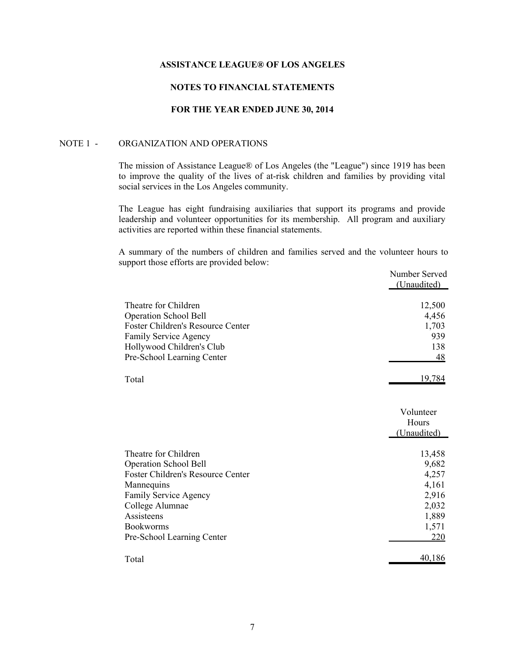# **NOTES TO FINANCIAL STATEMENTS**

# **FOR THE YEAR ENDED JUNE 30, 2014**

### NOTE 1 - ORGANIZATION AND OPERATIONS

The mission of Assistance League® of Los Angeles (the "League") since 1919 has been to improve the quality of the lives of at-risk children and families by providing vital social services in the Los Angeles community.

The League has eight fundraising auxiliaries that support its programs and provide leadership and volunteer opportunities for its membership. All program and auxiliary activities are reported within these financial statements.

A summary of the numbers of children and families served and the volunteer hours to support those efforts are provided below:

|                                   | Number Served<br>(Unaudited) |
|-----------------------------------|------------------------------|
| Theatre for Children              | 12,500                       |
| <b>Operation School Bell</b>      | 4,456                        |
| Foster Children's Resource Center | 1,703                        |
| <b>Family Service Agency</b>      | 939                          |
| Hollywood Children's Club         | 138                          |
| Pre-School Learning Center        | 48                           |
| Total                             | 19,784                       |
|                                   | Volunteer                    |
|                                   | Hours                        |
|                                   | (Unaudited)                  |
| Theatre for Children              | 13,458                       |
| <b>Operation School Bell</b>      | 9,682                        |
| Foster Children's Resource Center | 4,257                        |
| Mannequins                        | 4,161                        |
| Family Service Agency             | 2,916                        |
| College Alumnae                   | 2,032                        |
| Assisteens                        | 1,889                        |
| <b>Bookworms</b>                  | 1,571                        |
| Pre-School Learning Center        | 220                          |
| Total                             | 40,186                       |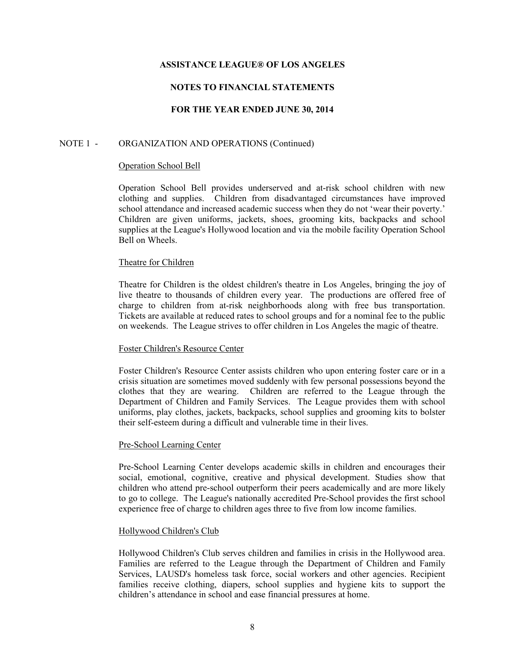# **NOTES TO FINANCIAL STATEMENTS**

# **FOR THE YEAR ENDED JUNE 30, 2014**

### NOTE 1 - ORGANIZATION AND OPERATIONS (Continued)

#### Operation School Bell

Operation School Bell provides underserved and at-risk school children with new clothing and supplies. Children from disadvantaged circumstances have improved school attendance and increased academic success when they do not 'wear their poverty.' Children are given uniforms, jackets, shoes, grooming kits, backpacks and school supplies at the League's Hollywood location and via the mobile facility Operation School Bell on Wheels.

#### Theatre for Children

Theatre for Children is the oldest children's theatre in Los Angeles, bringing the joy of live theatre to thousands of children every year. The productions are offered free of charge to children from at-risk neighborhoods along with free bus transportation. Tickets are available at reduced rates to school groups and for a nominal fee to the public on weekends. The League strives to offer children in Los Angeles the magic of theatre.

### Foster Children's Resource Center

Foster Children's Resource Center assists children who upon entering foster care or in a crisis situation are sometimes moved suddenly with few personal possessions beyond the clothes that they are wearing. Children are referred to the League through the Department of Children and Family Services. The League provides them with school uniforms, play clothes, jackets, backpacks, school supplies and grooming kits to bolster their self-esteem during a difficult and vulnerable time in their lives.

### Pre-School Learning Center

Pre-School Learning Center develops academic skills in children and encourages their social, emotional, cognitive, creative and physical development. Studies show that children who attend pre-school outperform their peers academically and are more likely to go to college. The League's nationally accredited Pre-School provides the first school experience free of charge to children ages three to five from low income families.

### Hollywood Children's Club

Hollywood Children's Club serves children and families in crisis in the Hollywood area. Families are referred to the League through the Department of Children and Family Services, LAUSD's homeless task force, social workers and other agencies. Recipient families receive clothing, diapers, school supplies and hygiene kits to support the children's attendance in school and ease financial pressures at home.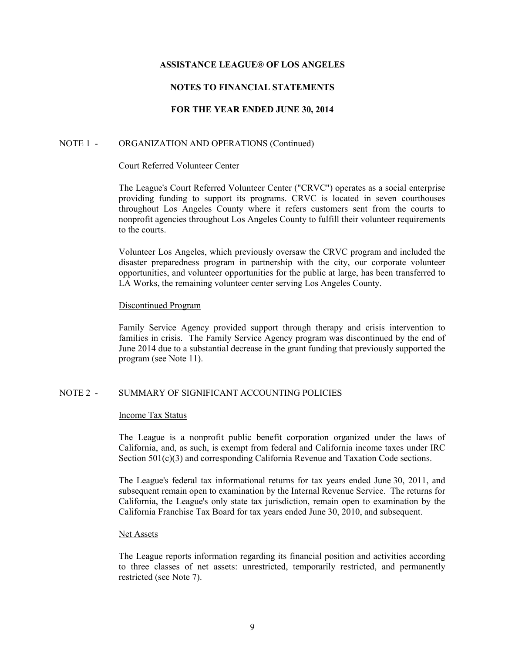# **NOTES TO FINANCIAL STATEMENTS**

# **FOR THE YEAR ENDED JUNE 30, 2014**

### NOTE 1 - ORGANIZATION AND OPERATIONS (Continued)

#### Court Referred Volunteer Center

The League's Court Referred Volunteer Center ("CRVC") operates as a social enterprise providing funding to support its programs. CRVC is located in seven courthouses throughout Los Angeles County where it refers customers sent from the courts to nonprofit agencies throughout Los Angeles County to fulfill their volunteer requirements to the courts.

Volunteer Los Angeles, which previously oversaw the CRVC program and included the disaster preparedness program in partnership with the city, our corporate volunteer opportunities, and volunteer opportunities for the public at large, has been transferred to LA Works, the remaining volunteer center serving Los Angeles County.

### Discontinued Program

Family Service Agency provided support through therapy and crisis intervention to families in crisis. The Family Service Agency program was discontinued by the end of June 2014 due to a substantial decrease in the grant funding that previously supported the program (see Note 11).

### NOTE 2 - SUMMARY OF SIGNIFICANT ACCOUNTING POLICIES

### Income Tax Status

The League is a nonprofit public benefit corporation organized under the laws of California, and, as such, is exempt from federal and California income taxes under IRC Section 501(c)(3) and corresponding California Revenue and Taxation Code sections.

The League's federal tax informational returns for tax years ended June 30, 2011, and subsequent remain open to examination by the Internal Revenue Service. The returns for California, the League's only state tax jurisdiction, remain open to examination by the California Franchise Tax Board for tax years ended June 30, 2010, and subsequent.

### Net Assets

The League reports information regarding its financial position and activities according to three classes of net assets: unrestricted, temporarily restricted, and permanently restricted (see Note 7).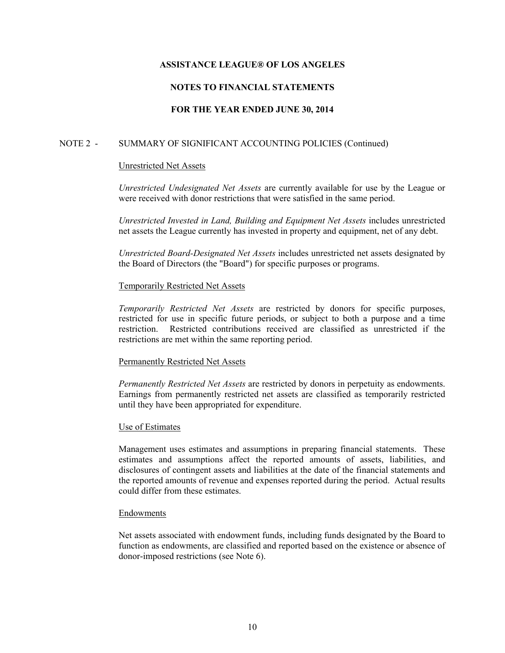# **NOTES TO FINANCIAL STATEMENTS**

# **FOR THE YEAR ENDED JUNE 30, 2014**

# NOTE 2 - SUMMARY OF SIGNIFICANT ACCOUNTING POLICIES (Continued)

## Unrestricted Net Assets

*Unrestricted Undesignated Net Assets* are currently available for use by the League or were received with donor restrictions that were satisfied in the same period.

*Unrestricted Invested in Land, Building and Equipment Net Assets* includes unrestricted net assets the League currently has invested in property and equipment, net of any debt.

*Unrestricted Board-Designated Net Assets* includes unrestricted net assets designated by the Board of Directors (the "Board") for specific purposes or programs.

## Temporarily Restricted Net Assets

*Temporarily Restricted Net Assets* are restricted by donors for specific purposes, restricted for use in specific future periods, or subject to both a purpose and a time restriction. Restricted contributions received are classified as unrestricted if the restrictions are met within the same reporting period.

### Permanently Restricted Net Assets

*Permanently Restricted Net Assets* are restricted by donors in perpetuity as endowments. Earnings from permanently restricted net assets are classified as temporarily restricted until they have been appropriated for expenditure.

# Use of Estimates

Management uses estimates and assumptions in preparing financial statements. These estimates and assumptions affect the reported amounts of assets, liabilities, and disclosures of contingent assets and liabilities at the date of the financial statements and the reported amounts of revenue and expenses reported during the period. Actual results could differ from these estimates.

### Endowments

Net assets associated with endowment funds, including funds designated by the Board to function as endowments, are classified and reported based on the existence or absence of donor-imposed restrictions (see Note 6).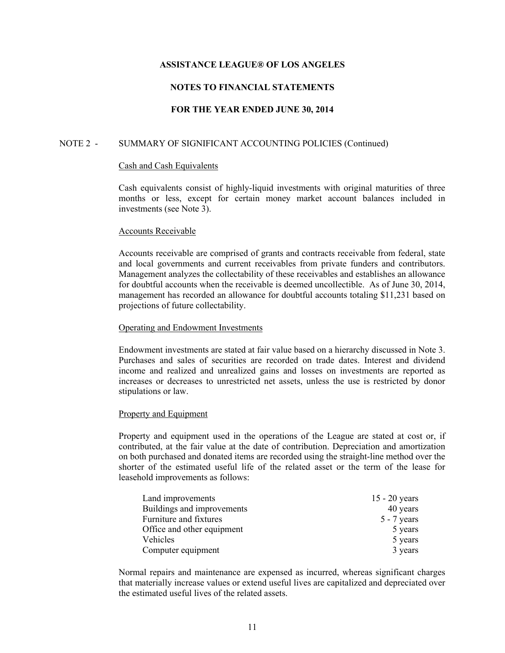# **NOTES TO FINANCIAL STATEMENTS**

## **FOR THE YEAR ENDED JUNE 30, 2014**

### NOTE 2 - SUMMARY OF SIGNIFICANT ACCOUNTING POLICIES (Continued)

#### Cash and Cash Equivalents

Cash equivalents consist of highly-liquid investments with original maturities of three months or less, except for certain money market account balances included in investments (see Note 3).

#### Accounts Receivable

Accounts receivable are comprised of grants and contracts receivable from federal, state and local governments and current receivables from private funders and contributors. Management analyzes the collectability of these receivables and establishes an allowance for doubtful accounts when the receivable is deemed uncollectible. As of June 30, 2014, management has recorded an allowance for doubtful accounts totaling \$11,231 based on projections of future collectability.

#### Operating and Endowment Investments

Endowment investments are stated at fair value based on a hierarchy discussed in Note 3. Purchases and sales of securities are recorded on trade dates. Interest and dividend income and realized and unrealized gains and losses on investments are reported as increases or decreases to unrestricted net assets, unless the use is restricted by donor stipulations or law.

### Property and Equipment

Property and equipment used in the operations of the League are stated at cost or, if contributed, at the fair value at the date of contribution. Depreciation and amortization on both purchased and donated items are recorded using the straight-line method over the shorter of the estimated useful life of the related asset or the term of the lease for leasehold improvements as follows:

| Land improvements          | $15 - 20$ years |
|----------------------------|-----------------|
| Buildings and improvements | 40 years        |
| Furniture and fixtures     | $5 - 7$ years   |
| Office and other equipment | 5 years         |
| Vehicles                   | 5 years         |
| Computer equipment         | 3 years         |

Normal repairs and maintenance are expensed as incurred, whereas significant charges that materially increase values or extend useful lives are capitalized and depreciated over the estimated useful lives of the related assets.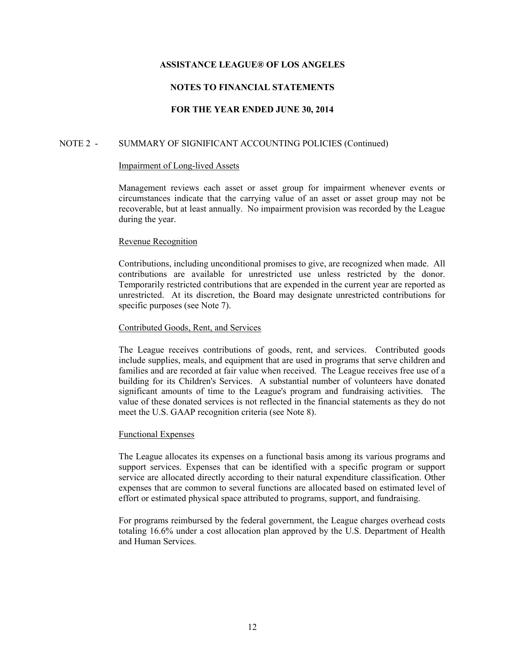# **NOTES TO FINANCIAL STATEMENTS**

## **FOR THE YEAR ENDED JUNE 30, 2014**

# NOTE 2 - SUMMARY OF SIGNIFICANT ACCOUNTING POLICIES (Continued)

#### Impairment of Long-lived Assets

Management reviews each asset or asset group for impairment whenever events or circumstances indicate that the carrying value of an asset or asset group may not be recoverable, but at least annually. No impairment provision was recorded by the League during the year.

### Revenue Recognition

Contributions, including unconditional promises to give, are recognized when made. All contributions are available for unrestricted use unless restricted by the donor. Temporarily restricted contributions that are expended in the current year are reported as unrestricted. At its discretion, the Board may designate unrestricted contributions for specific purposes (see Note 7).

### Contributed Goods, Rent, and Services

The League receives contributions of goods, rent, and services. Contributed goods include supplies, meals, and equipment that are used in programs that serve children and families and are recorded at fair value when received. The League receives free use of a building for its Children's Services. A substantial number of volunteers have donated significant amounts of time to the League's program and fundraising activities. The value of these donated services is not reflected in the financial statements as they do not meet the U.S. GAAP recognition criteria (see Note 8).

### Functional Expenses

The League allocates its expenses on a functional basis among its various programs and support services. Expenses that can be identified with a specific program or support service are allocated directly according to their natural expenditure classification. Other expenses that are common to several functions are allocated based on estimated level of effort or estimated physical space attributed to programs, support, and fundraising.

For programs reimbursed by the federal government, the League charges overhead costs totaling 16.6% under a cost allocation plan approved by the U.S. Department of Health and Human Services.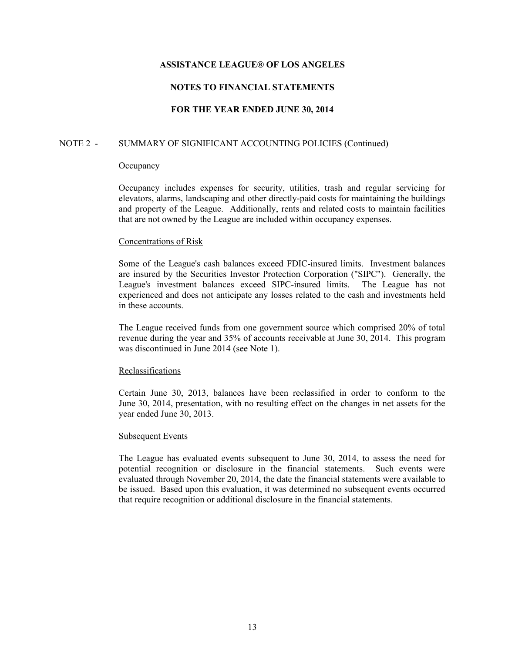# **NOTES TO FINANCIAL STATEMENTS**

## **FOR THE YEAR ENDED JUNE 30, 2014**

## NOTE 2 - SUMMARY OF SIGNIFICANT ACCOUNTING POLICIES (Continued)

#### **Occupancy**

Occupancy includes expenses for security, utilities, trash and regular servicing for elevators, alarms, landscaping and other directly-paid costs for maintaining the buildings and property of the League. Additionally, rents and related costs to maintain facilities that are not owned by the League are included within occupancy expenses.

### Concentrations of Risk

Some of the League's cash balances exceed FDIC-insured limits. Investment balances are insured by the Securities Investor Protection Corporation ("SIPC"). Generally, the League's investment balances exceed SIPC-insured limits. The League has not experienced and does not anticipate any losses related to the cash and investments held in these accounts.

The League received funds from one government source which comprised 20% of total revenue during the year and 35% of accounts receivable at June 30, 2014. This program was discontinued in June 2014 (see Note 1).

#### **Reclassifications**

Certain June 30, 2013, balances have been reclassified in order to conform to the June 30, 2014, presentation, with no resulting effect on the changes in net assets for the year ended June 30, 2013.

#### Subsequent Events

The League has evaluated events subsequent to June 30, 2014, to assess the need for potential recognition or disclosure in the financial statements. Such events were evaluated through November 20, 2014, the date the financial statements were available to be issued. Based upon this evaluation, it was determined no subsequent events occurred that require recognition or additional disclosure in the financial statements.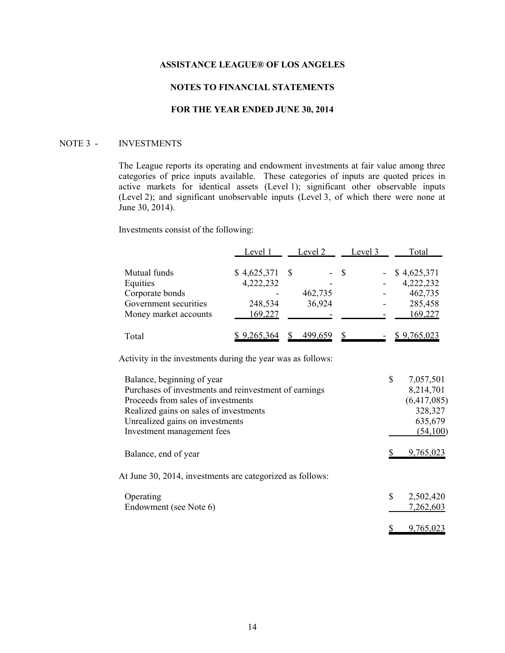# **NOTES TO FINANCIAL STATEMENTS**

### **FOR THE YEAR ENDED JUNE 30, 2014**

#### NOTE 3 - INVESTMENTS

The League reports its operating and endowment investments at fair value among three categories of price inputs available. These categories of inputs are quoted prices in active markets for identical assets (Level 1); significant other observable inputs (Level 2); and significant unobservable inputs (Level 3, of which there were none at June 30, 2014).

Investments consist of the following:

|                       | Level 1     | Level 2 |         | Level 3 |  | Total              |
|-----------------------|-------------|---------|---------|---------|--|--------------------|
| Mutual funds          | \$4,625,371 |         |         | - \$    |  | \$4,625,371        |
| Equities              | 4,222,232   |         |         |         |  | 4,222,232          |
| Corporate bonds       |             |         | 462,735 |         |  | 462,735            |
| Government securities | 248,534     |         | 36,924  |         |  | 285,458            |
| Money market accounts | 169,227     |         |         |         |  | 169,227            |
| Total                 | \$9,265,364 |         | 499,659 |         |  | <u>\$9,765,023</u> |

Activity in the investments during the year was as follows:

| Balance, beginning of year                                | \$<br>7,057,501 |
|-----------------------------------------------------------|-----------------|
| Purchases of investments and reinvestment of earnings     | 8,214,701       |
| Proceeds from sales of investments                        | (6,417,085)     |
| Realized gains on sales of investments                    | 328,327         |
| Unrealized gains on investments                           | 635,679         |
| Investment management fees                                | (54,100)        |
| Balance, end of year                                      | 9,765,023       |
| At June 30, 2014, investments are categorized as follows: |                 |
| Operating                                                 | \$<br>2,502,420 |
| Endowment (see Note 6)                                    | 7,262,603       |
|                                                           | 9.765.023       |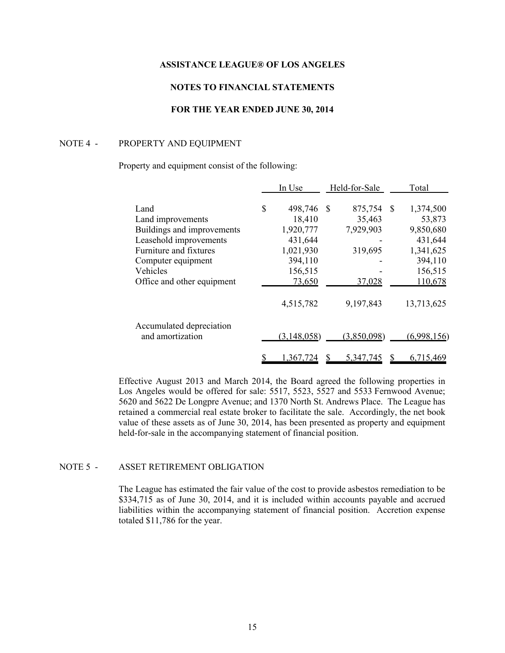# **NOTES TO FINANCIAL STATEMENTS**

# **FOR THE YEAR ENDED JUNE 30, 2014**

#### NOTE 4 - PROPERTY AND EQUIPMENT

#### Property and equipment consist of the following:

|                                              |    | In Use      | Held-for-Sale |             |     | Total       |
|----------------------------------------------|----|-------------|---------------|-------------|-----|-------------|
| Land                                         | \$ | 498,746     | - \$          | 875,754     | \$. | 1,374,500   |
| Land improvements                            |    | 18,410      |               | 35,463      |     | 53,873      |
| Buildings and improvements                   |    | 1,920,777   |               | 7,929,903   |     | 9,850,680   |
| Leasehold improvements                       |    | 431,644     |               |             |     | 431,644     |
| Furniture and fixtures                       |    | 1,021,930   |               | 319,695     |     | 1,341,625   |
| Computer equipment                           |    | 394,110     |               |             |     | 394,110     |
| Vehicles                                     |    | 156,515     |               |             |     | 156,515     |
| Office and other equipment                   |    | 73,650      |               | 37,028      |     | 110,678     |
|                                              |    | 4,515,782   |               | 9,197,843   |     | 13,713,625  |
| Accumulated depreciation<br>and amortization |    | (3,148,058) |               | (3,850,098) |     | (6,998,156) |
|                                              |    |             |               |             |     |             |
|                                              |    | 1,367,724   |               | 5,347,745   |     | 6,715,469   |

Effective August 2013 and March 2014, the Board agreed the following properties in Los Angeles would be offered for sale: 5517, 5523, 5527 and 5533 Fernwood Avenue; 5620 and 5622 De Longpre Avenue; and 1370 North St. Andrews Place. The League has retained a commercial real estate broker to facilitate the sale. Accordingly, the net book value of these assets as of June 30, 2014, has been presented as property and equipment held-for-sale in the accompanying statement of financial position.

# NOTE 5 - ASSET RETIREMENT OBLIGATION

The League has estimated the fair value of the cost to provide asbestos remediation to be \$334,715 as of June 30, 2014, and it is included within accounts payable and accrued liabilities within the accompanying statement of financial position. Accretion expense totaled \$11,786 for the year.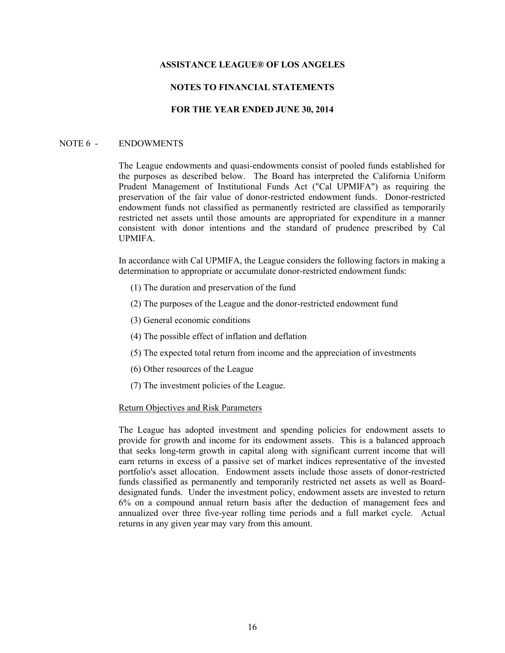### **NOTES TO FINANCIAL STATEMENTS**

# **FOR THE YEAR ENDED JUNE 30, 2014**

#### NOTE 6 - ENDOWMENTS

The League endowments and quasi-endowments consist of pooled funds established for the purposes as described below. The Board has interpreted the California Uniform Prudent Management of Institutional Funds Act ("Cal UPMIFA") as requiring the preservation of the fair value of donor-restricted endowment funds. Donor-restricted endowment funds not classified as permanently restricted are classified as temporarily restricted net assets until those amounts are appropriated for expenditure in a manner consistent with donor intentions and the standard of prudence prescribed by Cal UPMIFA.

In accordance with Cal UPMIFA, the League considers the following factors in making a determination to appropriate or accumulate donor-restricted endowment funds:

- (1) The duration and preservation of the fund
- (2) The purposes of the League and the donor-restricted endowment fund
- (3) General economic conditions
- (4) The possible effect of inflation and deflation
- (5) The expected total return from income and the appreciation of investments
- (6) Other resources of the League
- (7) The investment policies of the League.

### Return Objectives and Risk Parameters

The League has adopted investment and spending policies for endowment assets to provide for growth and income for its endowment assets. This is a balanced approach that seeks long-term growth in capital along with significant current income that will earn returns in excess of a passive set of market indices representative of the invested portfolio's asset allocation. Endowment assets include those assets of donor-restricted funds classified as permanently and temporarily restricted net assets as well as Boarddesignated funds. Under the investment policy, endowment assets are invested to return 6% on a compound annual return basis after the deduction of management fees and annualized over three five-year rolling time periods and a full market cycle. Actual returns in any given year may vary from this amount.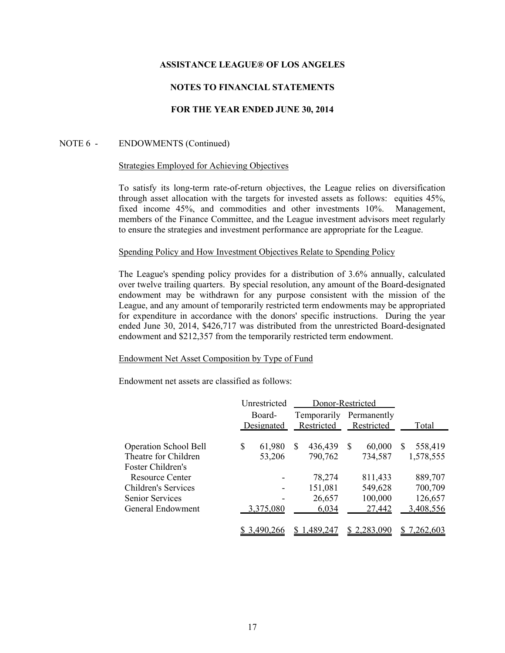# **NOTES TO FINANCIAL STATEMENTS**

# **FOR THE YEAR ENDED JUNE 30, 2014**

### NOTE 6 - ENDOWMENTS (Continued)

#### Strategies Employed for Achieving Objectives

To satisfy its long-term rate-of-return objectives, the League relies on diversification through asset allocation with the targets for invested assets as follows: equities 45%, fixed income 45%, and commodities and other investments 10%. Management, members of the Finance Committee, and the League investment advisors meet regularly to ensure the strategies and investment performance are appropriate for the League.

#### Spending Policy and How Investment Objectives Relate to Spending Policy

The League's spending policy provides for a distribution of 3.6% annually, calculated over twelve trailing quarters. By special resolution, any amount of the Board-designated endowment may be withdrawn for any purpose consistent with the mission of the League, and any amount of temporarily restricted term endowments may be appropriated for expenditure in accordance with the donors' specific instructions. During the year ended June 30, 2014, \$426,717 was distributed from the unrestricted Board-designated endowment and \$212,357 from the temporarily restricted term endowment.

#### Endowment Net Asset Composition by Type of Fund

Endowment net assets are classified as follows:

|                              |    | Unrestricted         | Donor-Restricted |           |    |                           |    |                           |  |  |       |
|------------------------------|----|----------------------|------------------|-----------|----|---------------------------|----|---------------------------|--|--|-------|
|                              |    | Board-<br>Designated |                  |           |    | Temporarily<br>Restricted |    | Permanently<br>Restricted |  |  | Total |
|                              |    |                      |                  |           |    |                           |    |                           |  |  |       |
| <b>Operation School Bell</b> | \$ | 61,980               | S                | 436,439   | \$ | 60,000                    | \$ | 558,419                   |  |  |       |
| Theatre for Children         |    | 53,206               |                  | 790,762   |    | 734,587                   |    | 1,578,555                 |  |  |       |
| Foster Children's            |    |                      |                  |           |    |                           |    |                           |  |  |       |
| <b>Resource Center</b>       |    |                      |                  | 78,274    |    | 811,433                   |    | 889,707                   |  |  |       |
| Children's Services          |    |                      |                  | 151,081   |    | 549,628                   |    | 700,709                   |  |  |       |
| <b>Senior Services</b>       |    |                      |                  | 26,657    |    | 100,000                   |    | 126,657                   |  |  |       |
| General Endowment            |    | 3,375,080            |                  | 6,034     |    | 27,442                    |    | 3,408,556                 |  |  |       |
|                              |    | \$3,490,266          |                  | 1,489,247 |    | \$2,283,090               |    | \$7,262,603               |  |  |       |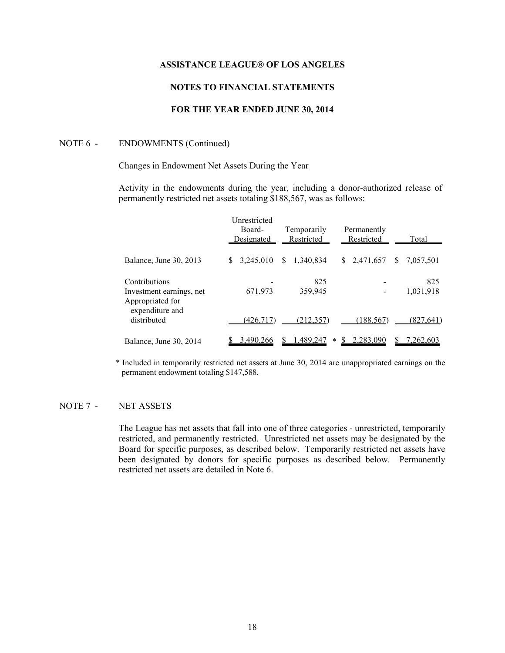# **NOTES TO FINANCIAL STATEMENTS**

# **FOR THE YEAR ENDED JUNE 30, 2014**

#### NOTE 6 - ENDOWMENTS (Continued)

## Changes in Endowment Net Assets During the Year

Activity in the endowments during the year, including a donor-authorized release of permanently restricted net assets totaling \$188,567, was as follows:

|                                                               |    | Unrestricted<br>Board-<br>Designated |     | Temporarily<br>Restricted |        | Permanently<br>Restricted |              | Total            |  |
|---------------------------------------------------------------|----|--------------------------------------|-----|---------------------------|--------|---------------------------|--------------|------------------|--|
| Balance, June 30, 2013                                        | S. | 3,245,010                            | \$. | 1.340.834                 | S      | 2,471,657                 | <sup>S</sup> | 7,057,501        |  |
| Contributions<br>Investment earnings, net<br>Appropriated for |    | 671,973                              |     | 825<br>359,945            |        |                           |              | 825<br>1,031,918 |  |
| expenditure and<br>distributed                                |    | (426.717)                            |     | (212.357)                 |        | (188,567)                 |              | (827, 641)       |  |
| Balance, June 30, 2014                                        |    | 3,490,266                            |     | 1,489,247                 | $\ast$ | 2.283.090                 |              | 7,262,603        |  |

\* Included in temporarily restricted net assets at June 30, 2014 are unappropriated earnings on the permanent endowment totaling \$147,588.

# NOTE 7 - NET ASSETS

The League has net assets that fall into one of three categories - unrestricted, temporarily restricted, and permanently restricted. Unrestricted net assets may be designated by the Board for specific purposes, as described below. Temporarily restricted net assets have been designated by donors for specific purposes as described below. Permanently restricted net assets are detailed in Note 6.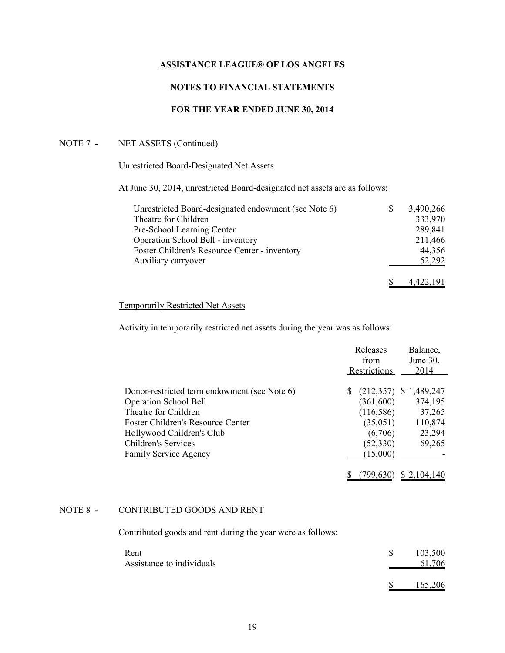# **NOTES TO FINANCIAL STATEMENTS**

# **FOR THE YEAR ENDED JUNE 30, 2014**

# NOTE 7 - NET ASSETS (Continued)

## Unrestricted Board-Designated Net Assets

At June 30, 2014, unrestricted Board-designated net assets are as follows:

| Unrestricted Board-designated endowment (see Note 6) | S | 3,490,266 |
|------------------------------------------------------|---|-----------|
| Theatre for Children                                 |   | 333,970   |
| Pre-School Learning Center                           |   | 289,841   |
| Operation School Bell - inventory                    |   | 211,466   |
| Foster Children's Resource Center - inventory        |   | 44,356    |
| Auxiliary carryover                                  |   | 52,292    |
|                                                      |   | 4.422.191 |

# Temporarily Restricted Net Assets

Activity in temporarily restricted net assets during the year was as follows:

|                                              | Releases<br>Restrictions | Balance,<br>June 30,<br>2014 |             |
|----------------------------------------------|--------------------------|------------------------------|-------------|
|                                              |                          |                              |             |
| Donor-restricted term endowment (see Note 6) | S                        | (212, 357)                   | \$1,489,247 |
| <b>Operation School Bell</b>                 |                          | (361,600)                    | 374,195     |
| Theatre for Children                         |                          | (116, 586)                   | 37,265      |
| Foster Children's Resource Center            |                          | (35,051)                     | 110,874     |
| Hollywood Children's Club                    |                          | (6,706)                      | 23,294      |
| <b>Children's Services</b>                   |                          | (52, 330)                    | 69,265      |
| <b>Family Service Agency</b>                 |                          | (15,000)                     |             |
|                                              |                          | 799.630                      | \$2,104,140 |

# NOTE 8 - CONTRIBUTED GOODS AND RENT

Contributed goods and rent during the year were as follows:

| Rent<br>Assistance to individuals |  | 103,500<br>61,706 |
|-----------------------------------|--|-------------------|
|                                   |  | 165,206           |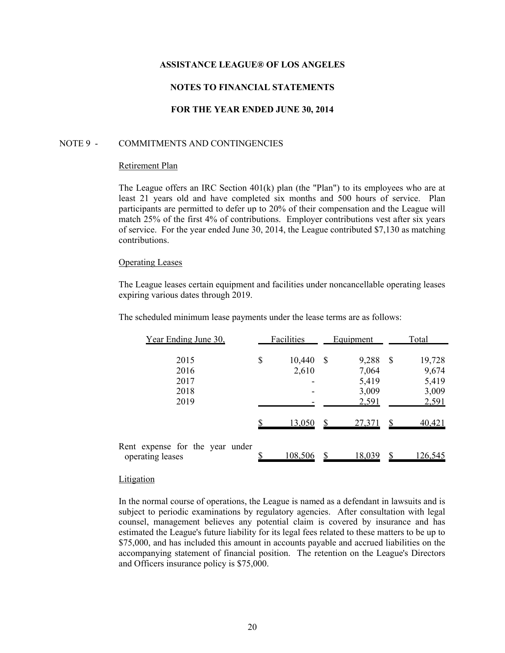## **NOTES TO FINANCIAL STATEMENTS**

# **FOR THE YEAR ENDED JUNE 30, 2014**

### NOTE 9 - COMMITMENTS AND CONTINGENCIES

#### Retirement Plan

The League offers an IRC Section  $401(k)$  plan (the "Plan") to its employees who are at least 21 years old and have completed six months and 500 hours of service. Plan participants are permitted to defer up to 20% of their compensation and the League will match 25% of the first 4% of contributions. Employer contributions vest after six years of service. For the year ended June 30, 2014, the League contributed \$7,130 as matching contributions.

#### Operating Leases

The League leases certain equipment and facilities under noncancellable operating leases expiring various dates through 2019.

The scheduled minimum lease payments under the lease terms are as follows:

| Year Ending June 30.                                | Facilities |                 |    | <b>Equipment</b>                          | Total        |                                            |  |
|-----------------------------------------------------|------------|-----------------|----|-------------------------------------------|--------------|--------------------------------------------|--|
| 2015<br>2016<br>2017<br>2018<br>2019                | \$         | 10,440<br>2,610 | -S | 9,288<br>7,064<br>5,419<br>3,009<br>2,591 | $\mathbb{S}$ | 19,728<br>9,674<br>5,419<br>3,009<br>2,591 |  |
|                                                     |            | <u>13,050</u>   |    | 27,371                                    |              | 40,421                                     |  |
| Rent expense for the year under<br>operating leases |            | <u>108,506</u>  |    | <u>18,039</u>                             |              | <u>126,545</u>                             |  |

#### Litigation

In the normal course of operations, the League is named as a defendant in lawsuits and is subject to periodic examinations by regulatory agencies. After consultation with legal counsel, management believes any potential claim is covered by insurance and has estimated the League's future liability for its legal fees related to these matters to be up to \$75,000, and has included this amount in accounts payable and accrued liabilities on the accompanying statement of financial position. The retention on the League's Directors and Officers insurance policy is \$75,000.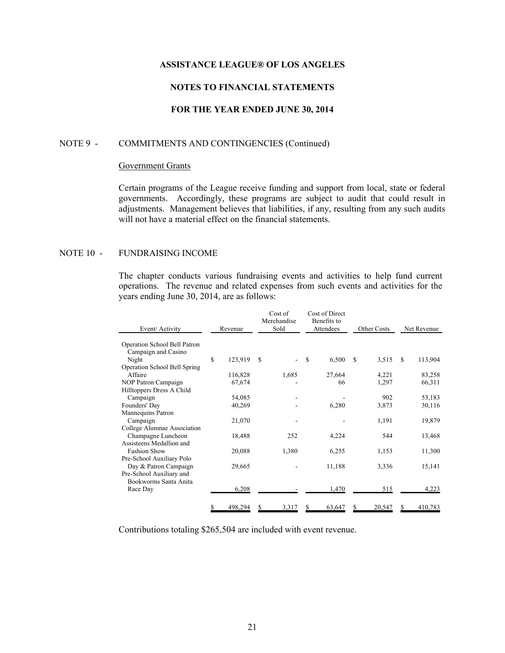# **NOTES TO FINANCIAL STATEMENTS**

# **FOR THE YEAR ENDED JUNE 30, 2014**

### NOTE 9 - COMMITMENTS AND CONTINGENCIES (Continued)

## Government Grants

Certain programs of the League receive funding and support from local, state or federal governments. Accordingly, these programs are subject to audit that could result in adjustments. Management believes that liabilities, if any, resulting from any such audits will not have a material effect on the financial statements.

### NOTE 10 - FUNDRAISING INCOME

The chapter conducts various fundraising events and activities to help fund current operations. The revenue and related expenses from such events and activities for the years ending June 30, 2014, are as follows:

| Event/ Activity              | Revenue       |               | Cost of<br>Merchandise<br>Sold |               | Cost of Direct<br>Benefits to<br>Attendees |   | Other Costs |   | Net Revenue |
|------------------------------|---------------|---------------|--------------------------------|---------------|--------------------------------------------|---|-------------|---|-------------|
| Operation School Bell Patron |               |               |                                |               |                                            |   |             |   |             |
| Campaign and Casino          |               |               |                                |               |                                            |   |             |   |             |
| Night                        | \$<br>123,919 | <sup>\$</sup> |                                | <sup>\$</sup> | 6,500                                      | S | 3,515       | S | 113,904     |
| Operation School Bell Spring |               |               |                                |               |                                            |   |             |   |             |
| Affaire                      | 116,828       |               | 1,685                          |               | 27,664                                     |   | 4,221       |   | 83,258      |
| NOP Patron Campaign          | 67,674        |               |                                |               | 66                                         |   | 1,297       |   | 66,311      |
| Hilltoppers Dress A Child    |               |               |                                |               |                                            |   |             |   |             |
| Campaign                     | 54,085        |               |                                |               |                                            |   | 902         |   | 53,183      |
| Founders' Day                | 40,269        |               |                                |               | 6,280                                      |   | 3,873       |   | 30,116      |
| Mannequins Patron            |               |               |                                |               |                                            |   |             |   |             |
| Campaign                     | 21,070        |               |                                |               |                                            |   | 1,191       |   | 19,879      |
| College Alumnae Association  |               |               |                                |               |                                            |   |             |   |             |
| Champagne Luncheon           | 18,488        |               | 252                            |               | 4,224                                      |   | 544         |   | 13,468      |
| Assisteens Medallion and     |               |               |                                |               |                                            |   |             |   |             |
| <b>Fashion Show</b>          | 20,088        |               | 1,380                          |               | 6,255                                      |   | 1,153       |   | 11,300      |
| Pre-School Auxiliary Polo    |               |               |                                |               |                                            |   |             |   |             |
| Day & Patron Campaign        | 29,665        |               |                                |               | 11,188                                     |   | 3,336       |   | 15,141      |
| Pre-School Auxiliary and     |               |               |                                |               |                                            |   |             |   |             |
| Bookworms Santa Anita        |               |               |                                |               |                                            |   |             |   |             |
| Race Day                     | 6,208         |               |                                |               | 1,470                                      |   | 515         |   | 4,223       |
|                              | \$<br>498,294 | S             | 3,317                          | S             | 63,647                                     | S | 20,547      | S | 410,783     |

Contributions totaling \$265,504 are included with event revenue.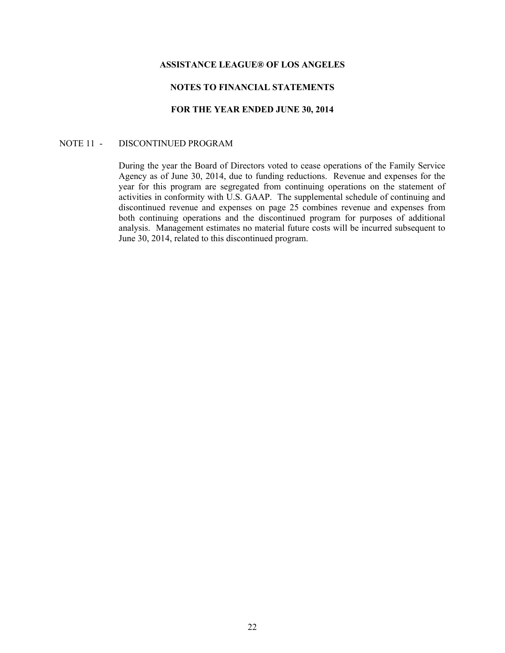# **NOTES TO FINANCIAL STATEMENTS**

# **FOR THE YEAR ENDED JUNE 30, 2014**

### NOTE 11 - DISCONTINUED PROGRAM

During the year the Board of Directors voted to cease operations of the Family Service Agency as of June 30, 2014, due to funding reductions. Revenue and expenses for the year for this program are segregated from continuing operations on the statement of activities in conformity with U.S. GAAP. The supplemental schedule of continuing and discontinued revenue and expenses on page 25 combines revenue and expenses from both continuing operations and the discontinued program for purposes of additional analysis. Management estimates no material future costs will be incurred subsequent to June 30, 2014, related to this discontinued program.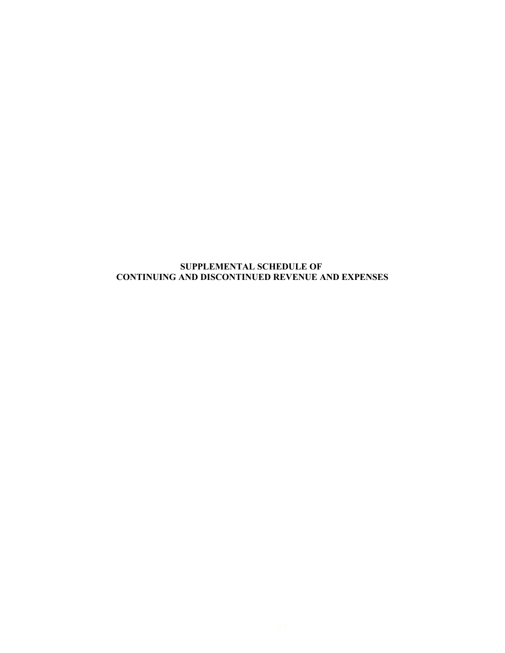# **SUPPLEMENTAL SCHEDULE OF CONTINUING AND DISCONTINUED REVENUE AND EXPENSES**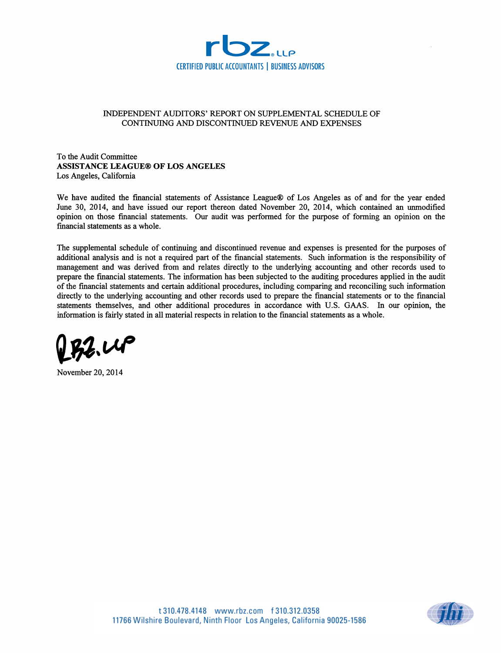

### INDEPENDENT AUDITORS' REPORT ON SUPPLEMENTAL SCHEDULE OF CONTINUING AND DISCONTINUED REVENUE AND EXPENSES

To the Audit Committee **ASSISTANCE LEAGUE® OF LOS ANGELES** Los Angeles, California

We have audited the financial statements of Assistance League® of Los Angeles as of and for the year ended June 30, 2014, and have issued our report thereon dated November 20, 2014, which contained an unmodified opinion on those financial statements. Our audit was performed for the purpose of forming an opinion on the financial statements as a whole.

The supplemental schedule of continuing and discontinued revenue and expenses is presented for the purposes of additional analysis and is not a required part of the financial statements. Such information is the responsibility of management and was derived from and relates directly to the underlying accounting and other records used to prepare the financial statements. The information has been subjected to the auditing procedures applied in the audit of the financial statements and certain additional procedures, including comparing and reconciling such information directly to the underlying accounting and other records used to prepare the financial statements or to the financial statements themselves, and other additional procedures in accordance with U.S. GAAS. In our opinion, the information is fairly stated in all material respects in relation to the financial statements as a whole.



November 20, 2014